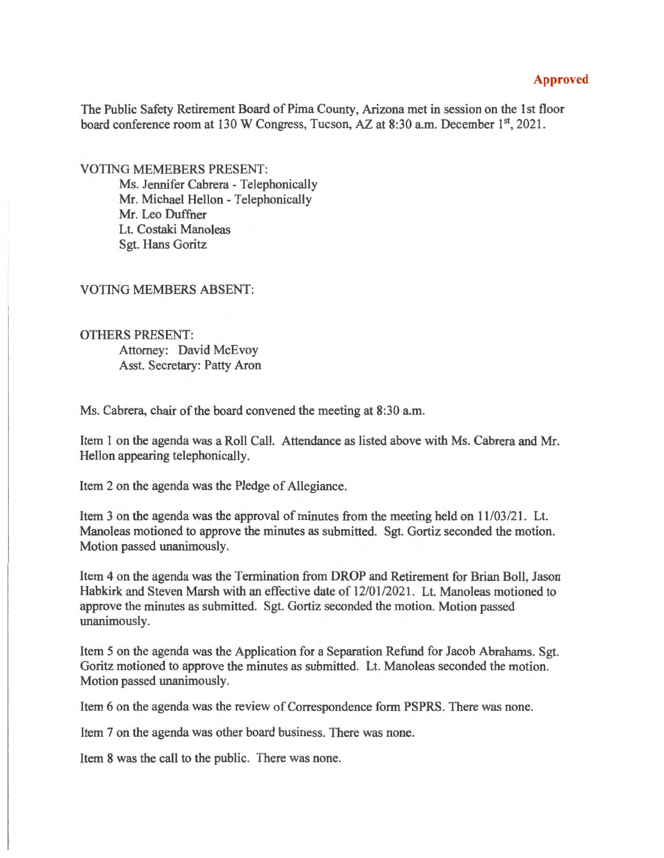## **Approved**

The Public Safety Retirement Board of Pima County, Arizona met in session on the 1st floor board conference room at 130 W Congress, Tucson, AZ at 8:30 a.m. December 1<sup>st</sup>, 2021.

VOTING MEMEBERS PRESENT:

Ms. Jennifer Cabrera - Telephonically Mr. Michael Hellon - Telephonically Mr. Leo Duffner Lt. Costaki Manoleas Sgt. Hans Goritz

VOTING MEMBERS ABSENT:

OTHERS PRESENT: Attorney: David McEvoy Asst. Secretary: Patty Aron

Ms. Cabrera, chair of the board convened the meeting at 8:30 a.m.

Item 1 on the agenda was a Roll Call. Attendance as listed above with Ms. Cabrera and Mr. Hellon appearing telephonically.

Item 2 on the agenda was the Pledge of Allegiance.

Item 3 on the agenda was the approval of minutes from the meeting held on 11/03/21. Lt. Manoleas motioned to approve the minutes as submitted. Sgt. Gortiz seconded the motion. Motion passed unanimously.

Item 4 on the agenda was the Termination from DROP and Retirement for Brian Boll, Jason Habkirk and Steven Marsh with an effective date of 12/01/2021. Lt. Manoleas motioned to approve the minutes as submitted. Sgt. Gortiz seconded the motion. Motion passed unanimously.

Item 5 on the agenda was the Application for a Separation Refund for Jacob Abrahams. Sgt. Goritz motioned to approve the minutes as submitted. Lt. Manoleas seconded the motion. Motion passed unanimously.

Item 6 on the agenda was the review of Correspondence form PSPRS. There was none.

Item 7 on the agenda was other board business. There was none.

Item 8 was the call to the public. There was none.